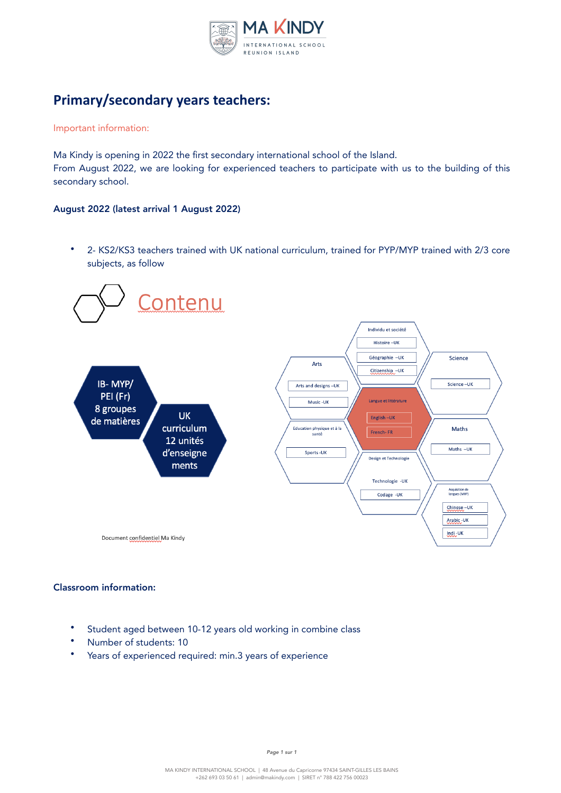

# **Primary/secondary years teachers:**

#### Important information:

Ma Kindy is opening in 2022 the first secondary international school of the Island. From August 2022, we are looking for experienced teachers to participate with us to the building of this secondary school.

## August 2022 (latest arrival 1 August 2022)

• 2- KS2/KS3 teachers trained with UK national curriculum, trained for PYP/MYP trained with 2/3 core subjects, as follow



# Classroom information:

- Student aged between 10-12 years old working in combine class
- Number of students: 10
- Years of experienced required: min.3 years of experience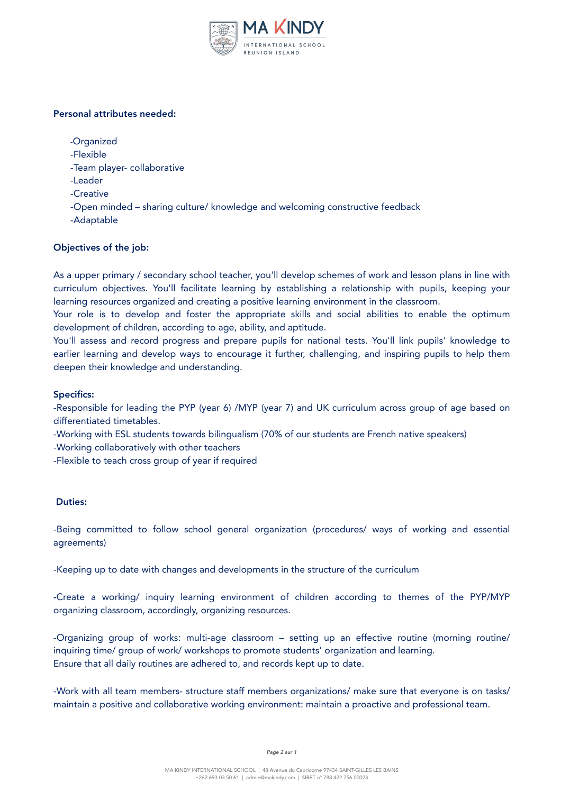

# Personal attributes needed:

-Organized

-Flexible

-Team player- collaborative

- -Leader
- -Creative

-Open minded – sharing culture/ knowledge and welcoming constructive feedback

-Adaptable

# Objectives of the job:

As a upper primary / secondary school teacher, you'll develop schemes of work and lesson plans in line with curriculum objectives. You'll facilitate learning by establishing a relationship with pupils, keeping your learning resources organized and creating a positive learning environment in the classroom.

Your role is to develop and foster the appropriate skills and social abilities to enable the optimum development of children, according to age, ability, and aptitude.

You'll assess and record progress and prepare pupils for national tests. You'll link pupils' knowledge to earlier learning and develop ways to encourage it further, challenging, and inspiring pupils to help them deepen their knowledge and understanding.

#### Specifics:

-Responsible for leading the PYP (year 6) /MYP (year 7) and UK curriculum across group of age based on differentiated timetables.

-Working with ESL students towards bilingualism (70% of our students are French native speakers)

-Working collaboratively with other teachers

-Flexible to teach cross group of year if required

## Duties:

-Being committed to follow school general organization (procedures/ ways of working and essential agreements)

-Keeping up to date with changes and developments in the structure of the curriculum

-Create a working/ inquiry learning environment of children according to themes of the PYP/MYP organizing classroom, accordingly, organizing resources.

-Organizing group of works: multi-age classroom – setting up an effective routine (morning routine/ inquiring time/ group of work/ workshops to promote students' organization and learning. Ensure that all daily routines are adhered to, and records kept up to date.

-Work with all team members- structure staff members organizations/ make sure that everyone is on tasks/ maintain a positive and collaborative working environment: maintain a proactive and professional team.